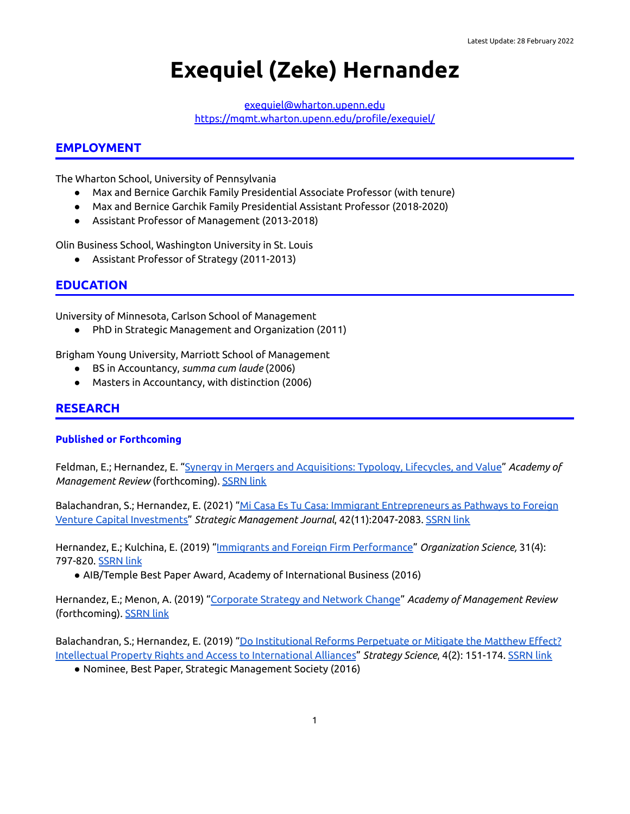# **Exequiel (Zeke) Hernandez**

[exequiel@wharton.upenn.edu](mailto:exequiel@wharton.upenn.edu) <https://mgmt.wharton.upenn.edu/profile/exequiel/>

## **EMPLOYMENT**

The Wharton School, University of Pennsylvania

- Max and Bernice Garchik Family Presidential Associate Professor (with tenure)
- Max and Bernice Garchik Family Presidential Assistant Professor (2018-2020)
- Assistant Professor of Management (2013-2018)

Olin Business School, Washington University in St. Louis

● Assistant Professor of Strategy (2011-2013)

## **EDUCATION**

University of Minnesota, Carlson School of Management

● PhD in Strategic Management and Organization (2011)

Brigham Young University, Marriott School of Management

- BS in Accountancy, *summa cum laude* (2006)
- Masters in Accountancy, with distinction (2006)

## **RESEARCH**

#### **Published or Forthcoming**

Feldman, E.; Hernandez, E. "Synergy in Mergers and [Acquisitions:](https://journals.aom.org/doi/10.5465/amr.2018.0345) Typology, Lifecycles, and Value" *Academy of Management Review* (forthcoming). [SSRN](https://papers.ssrn.com/sol3/papers.cfm?abstract_id=3816956) link

Balachandran, S.; Hernandez, E. (2021) "Mi Casa Es Tu Casa: Immigrant [Entrepreneurs](https://onlinelibrary.wiley.com/doi/10.1002/smj.3289) as Pathways to Foreign Venture Capital [Investments"](https://onlinelibrary.wiley.com/doi/10.1002/smj.3289) *Strategic Management Journal*, 42(11):2047-2083. [SSRN](https://papers.ssrn.com/sol3/papers.cfm?abstract_id=3331264) link

Hernandez, E.; Kulchina, E. (2019) "Immigrants and Foreign Firm [Performance"](https://pubsonline.informs.org/doi/abs/10.1287/orsc.2019.1331) *Organization Science,* 31(4): 797-820. [SSRN](https://papers.ssrn.com/sol3/papers.cfm?abstract_id=2822948) link

● AIB/Temple Best Paper Award, Academy of International Business (2016)

Hernandez, E.; Menon, A. (2019) "[Corporate](https://journals.aom.org/doi/10.5465/amr.2018.0013) Strategy and Network Change" *Academy of Management Review* (forthcoming). [SSRN](https://papers.ssrn.com/sol3/papers.cfm?abstract_id=3350502) link

Balachandran, S.; Hernandez, E. (2019) "Do [Institutional](https://pubsonline.informs.org/doi/full/10.1287/stsc.2019.0082?casa_token=_Mye5a1DBjAAAAAA%3AqmKmWAnol-Ao5T1HyK5CccszDrdK4tAv-Q3i04QoGW7T4FrIuE_soL2ZR8w34NyP_iDxmMMlKWw) Reforms Perpetuate or Mitigate the Matthew Effect? Intellectual Property Rights and Access to [International](https://pubsonline.informs.org/doi/full/10.1287/stsc.2019.0082?casa_token=_Mye5a1DBjAAAAAA%3AqmKmWAnol-Ao5T1HyK5CccszDrdK4tAv-Q3i04QoGW7T4FrIuE_soL2ZR8w34NyP_iDxmMMlKWw) Alliances" *Strategy Science*, 4(2): 151-174. [SSRN](https://papers.ssrn.com/sol3/papers.cfm?abstract_id=3321412) link

● Nominee, Best Paper, Strategic Management Society (2016)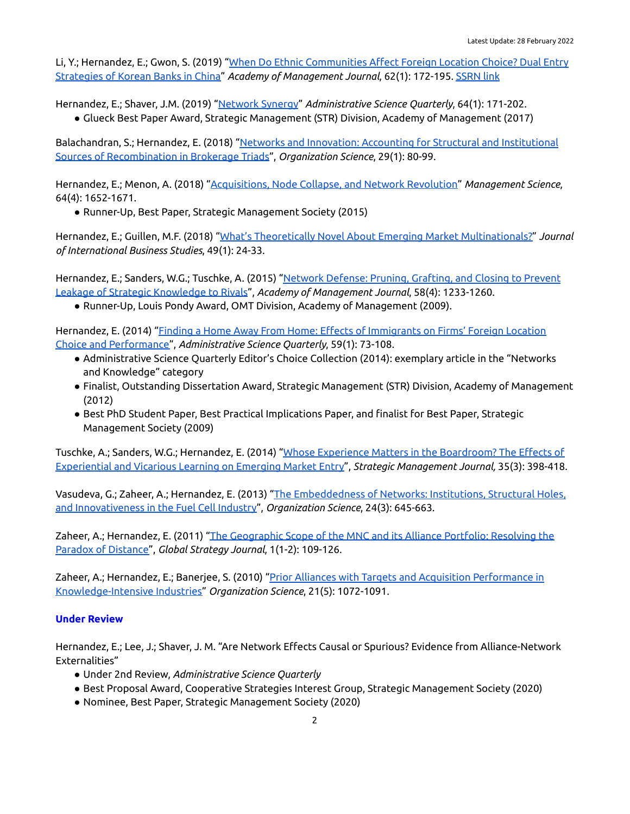Li, Y.; Hernandez, E.; Gwon, S. (2019) "When Do Ethnic [Communities](https://journals.aom.org/doi/abs/10.5465/amj.2017.0275?journalCode=amj) Affect Foreign Location Choice? Dual Entry [Strategies](https://journals.aom.org/doi/abs/10.5465/amj.2017.0275?journalCode=amj) of Korean Banks in China" *Academy of Management Journal*, 62(1): 172-195. [SSRN](https://papers.ssrn.com/sol3/papers.cfm?abstract_id=3143909) link

Hernandez, E.; Shaver, J.M. (2019) ["Network](https://journals.sagepub.com/doi/10.1177/0001839218761369) Synergy" *Administrative Science Quarterly*, 64(1): 171-202.

● Glueck Best Paper Award, Strategic Management (STR) Division, Academy of Management (2017)

Balachandran, S.; Hernandez, E. (2018) "Networks and Innovation: Accounting for Structural and [Institutional](https://pubsonline.informs.org/doi/10.1287/orsc.2017.1165) Sources of [Recombination](https://pubsonline.informs.org/doi/10.1287/orsc.2017.1165) in Brokerage Triads", *Organization Science*, 29(1): 80-99.

Hernandez, E.; Menon, A. (2018) "[Acquisitions,](https://pubsonline.informs.org/doi/10.1287/mnsc.2016.2691) Node Collapse, and Network Revolution" *Management Science*, 64(4): 1652-1671.

● Runner-Up, Best Paper, Strategic Management Society (2015)

Hernandez, E.; Guillen, M.F. (2018) "What's Theoretically Novel About Emerging Market [Multinationals?"](https://link-springer-com.proxy.library.upenn.edu/article/10.1057/s41267-017-0131-7) *Journal of International Business Studies*, 49(1): 24-33.

Hernandez, E.; Sanders, W.G.; Tuschke, A. (2015) "Network [Defense:](https://journals.aom.org/doi/full/10.5465/amj.2012.0773) Pruning, Grafting, and Closing to Prevent Leakage of Strategic [Knowledge](https://journals.aom.org/doi/full/10.5465/amj.2012.0773) to Rivals", *Academy of Management Journal*, 58(4): 1233-1260.

● Runner-Up, Louis Pondy Award, OMT Division, Academy of Management (2009).

Hernandez, E. (2014) "Finding a Home Away From Home: Effects of [Immigrants](https://journals.sagepub.com/doi/10.1177/0001839214523428) on Firms' Foreign Location Choice and [Performance"](https://journals.sagepub.com/doi/10.1177/0001839214523428), *Administrative Science Quarterly*, 59(1): 73-108.

- Administrative Science Quarterly Editor's Choice Collection (2014): exemplary article in the "Networks and Knowledge" category
- Finalist, Outstanding Dissertation Award, Strategic Management (STR) Division, Academy of Management (2012)
- Best PhD Student Paper, Best Practical Implications Paper, and finalist for Best Paper, Strategic Management Society (2009)

Tuschke, A.; Sanders, W.G.; Hernandez, E. (2014) "Whose Experience Matters in the [Boardroom?](https://onlinelibrary.wiley.com/doi/abs/10.1002/smj.2100) The Effects of [Experiential](https://onlinelibrary.wiley.com/doi/abs/10.1002/smj.2100) and Vicarious Learning on Emerging Market Entry", *Strategic Management Journal,* 35(3): 398-418.

Vasudeva, G.; Zaheer, A.; Hernandez, E. (2013) "The [Embeddedness](https://pubsonline.informs.org/doi/full/10.1287/orsc.1120.0780) of Networks: Institutions, Structural Holes, and [Innovativeness](https://pubsonline.informs.org/doi/full/10.1287/orsc.1120.0780) in the Fuel Cell Industry", *Organization Science*, 24(3): 645-663.

Zaheer, A.; Hernandez, E. (2011) "The [Geographic](https://onlinelibrary.wiley.com/doi/abs/10.1002/gsj.6) Scope of the MNC and its Alliance Portfolio: Resolving the Paradox of [Distance"](https://onlinelibrary.wiley.com/doi/abs/10.1002/gsj.6), *Global Strategy Journal*, 1(1-2): 109-126.

Zaheer, A.; Hernandez, E.; Banerjee, S. (2010) "Prior Alliances with Targets and Acquisition [Performance](https://pubsonline.informs.org/doi/abs/10.1287/orsc.1100.0528) in [Knowledge-Intensive](https://pubsonline.informs.org/doi/abs/10.1287/orsc.1100.0528) Industries" *Organization Science*, 21(5): 1072-1091.

# **Under Review**

Hernandez, E.; Lee, J.; Shaver, J. M. "Are Network Effects Causal or Spurious? Evidence from Alliance-Network Externalities"

- Under 2nd Review, *Administrative Science Quarterly*
- Best Proposal Award, Cooperative Strategies Interest Group, Strategic Management Society (2020)
- Nominee, Best Paper, Strategic Management Society (2020)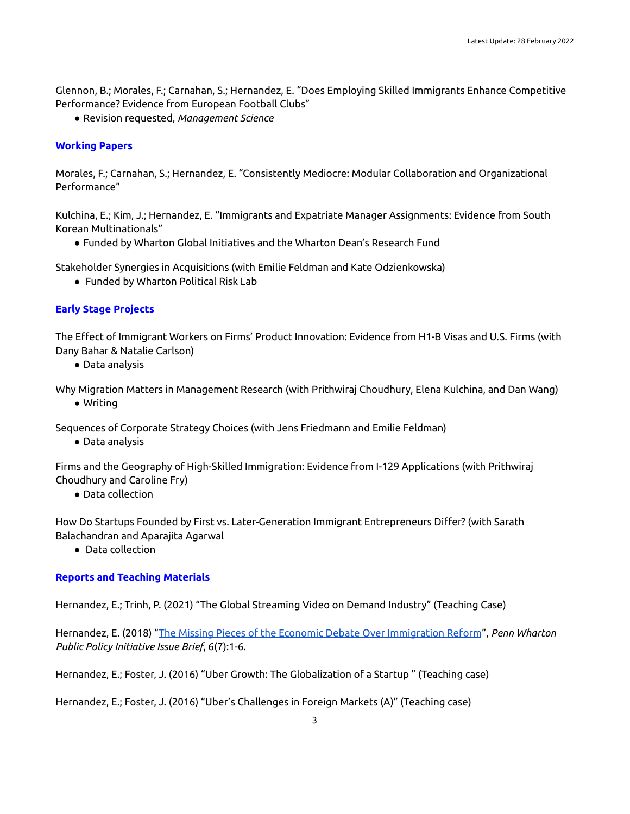Glennon, B.; Morales, F.; Carnahan, S.; Hernandez, E. "Does Employing Skilled Immigrants Enhance Competitive Performance? Evidence from European Football Clubs"

● Revision requested, *Management Science*

#### **Working Papers**

Morales, F.; Carnahan, S.; Hernandez, E. "Consistently Mediocre: Modular Collaboration and Organizational Performance"

Kulchina, E.; Kim, J.; Hernandez, E. "Immigrants and Expatriate Manager Assignments: Evidence from South Korean Multinationals"

● Funded by Wharton Global Initiatives and the Wharton Dean's Research Fund

Stakeholder Synergies in Acquisitions (with Emilie Feldman and Kate Odzienkowska)

● Funded by Wharton Political Risk Lab

#### **Early Stage Projects**

The Effect of Immigrant Workers on Firms' Product Innovation: Evidence from H1-B Visas and U.S. Firms (with Dany Bahar & Natalie Carlson)

● Data analysis

Why Migration Matters in Management Research (with Prithwiraj Choudhury, Elena Kulchina, and Dan Wang) ● Writing

Sequences of Corporate Strategy Choices (with Jens Friedmann and Emilie Feldman)

● Data analysis

Firms and the Geography of High-Skilled Immigration: Evidence from I-129 Applications (with Prithwiraj Choudhury and Caroline Fry)

● Data collection

How Do Startups Founded by First vs. Later-Generation Immigrant Entrepreneurs Differ? (with Sarath Balachandran and Aparajita Agarwal

● Data collection

## **Reports and Teaching Materials**

Hernandez, E.; Trinh, P. (2021) "The Global Streaming Video on Demand Industry" (Teaching Case)

Hernandez, E. (2018) "The Missing Pieces of the Economic Debate Over [Immigration](https://publicpolicy.wharton.upenn.edu/issue-brief/v6n7.php) Reform", *Penn Wharton Public Policy Initiative Issue Brief*, 6(7):1-6.

Hernandez, E.; Foster, J. (2016) "Uber Growth: The Globalization of a Startup " (Teaching case)

Hernandez, E.; Foster, J. (2016) "Uber's Challenges in Foreign Markets (A)" (Teaching case)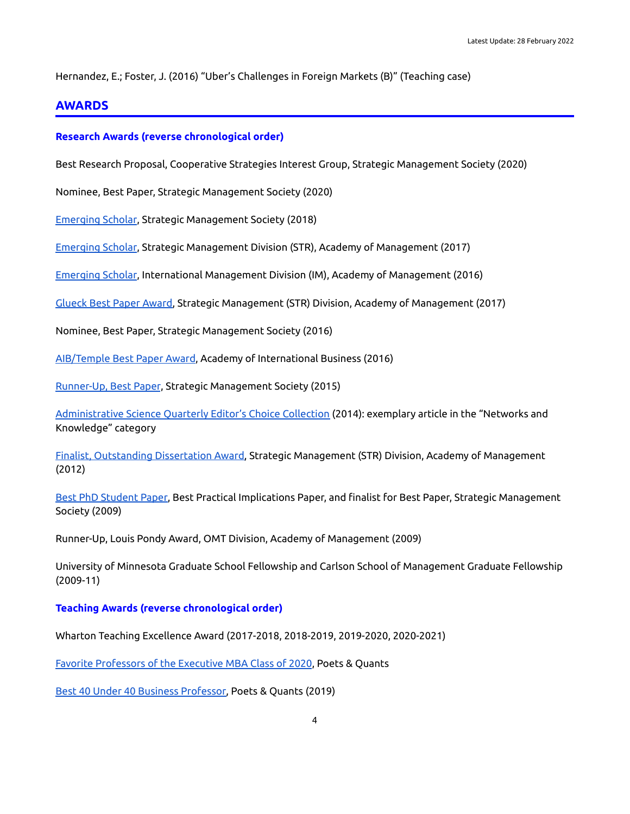Hernandez, E.; Foster, J. (2016) "Uber's Challenges in Foreign Markets (B)" (Teaching case)

# **AWARDS**

#### **Research Awards (reverse chronological order)**

Best Research Proposal, Cooperative Strategies Interest Group, Strategic Management Society (2020)

Nominee, Best Paper, Strategic Management Society (2020)

[Emerging](https://www.strategicmanagement.net/awards/emerging-scholar) Scholar, Strategic Management Society (2018)

[Emerging](http://strdiv.org/HigherLogic/System/DownloadDocumentFile.ashx?DocumentFileKey=28cf0665-8266-e844-b464-db8ac48af084&forceDialog=0) Scholar, Strategic Management Division (STR), Academy of Management (2017)

[Emerging](https://im.aom.org/recent-award-winners/) Scholar, International Management Division (IM), Academy of Management (2016)

[Glueck](http://strdiv.org/new-item1/new-item3?CLK=739626ba-a10c-4d10-aa6c-da06c7c93824) Best Paper Award, Strategic Management (STR) Division, Academy of Management (2017)

Nominee, Best Paper, Strategic Management Society (2016)

[AIB/Temple](https://aib.msu.edu/awards/aibbestpaper.asp) Best Paper Award, Academy of International Business (2016)

[Runner-Up,](https://www.strategicmanagement.net/awards/best-paper-prize) Best Paper, Strategic Management Society (2015)

[Administrative](https://journals.sagepub.com/topic/collections-asq/asq-1-networks_and_knowledge/asq) Science Quarterly Editor's Choice Collection (2014): exemplary article in the "Networks and Knowledge" category

Finalist, [Outstanding](http://strdiv.org/HigherLogic/System/DownloadDocumentFile.ashx?DocumentFileKey=a6e18083-4e69-f2ca-937e-2cb5a2b212db&forceDialog=0) Dissertation Award, Strategic Management (STR) Division, Academy of Management (2012)

Best PhD [Student](https://www.strategicmanagement.net/awards/phd-paper-prize) Paper, Best Practical Implications Paper, and finalist for Best Paper, Strategic Management Society (2009)

Runner-Up, Louis Pondy Award, OMT Division, Academy of Management (2009)

University of Minnesota Graduate School Fellowship and Carlson School of Management Graduate Fellowship (2009-11)

**Teaching Awards (reverse chronological order)**

Wharton Teaching Excellence Award (2017-2018, 2018-2019, 2019-2020, 2020-2021)

Favorite [Professors](https://poetsandquantsforexecs.com/2020/10/11/favorite-professors-of-the-executive-mba-class-of-2020/) of the Executive MBA Class of 2020, Poets & Quants

Best 40 Under 40 Business [Professor,](https://poetsandquants.com/2019/04/22/2019-best-40-under-40-professors-exequiel-zeke-hernandez-wharton/?pq-category=best-profs&pq-category-2=business-school-news/) Poets & Quants (2019)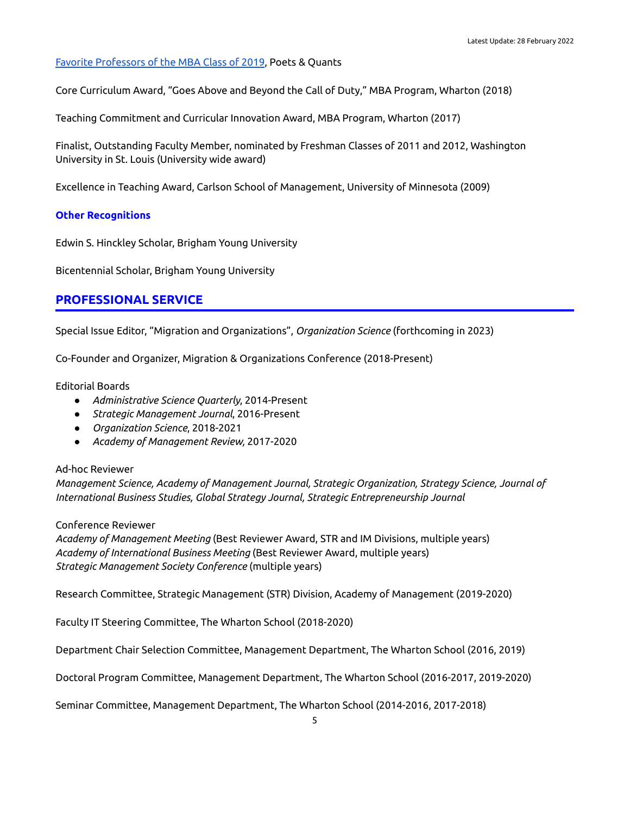#### Favorite [Professors](https://poetsandquants.com/2019/05/26/favorite-professors-of-the-mba-class-of-2019/) of the MBA Class of 2019, Poets & Quants

Core Curriculum Award, "Goes Above and Beyond the Call of Duty," MBA Program, Wharton (2018)

Teaching Commitment and Curricular Innovation Award, MBA Program, Wharton (2017)

Finalist, Outstanding Faculty Member, nominated by Freshman Classes of 2011 and 2012, Washington University in St. Louis (University wide award)

Excellence in Teaching Award, Carlson School of Management, University of Minnesota (2009)

#### **Other Recognitions**

Edwin S. Hinckley Scholar, Brigham Young University

Bicentennial Scholar, Brigham Young University

# **PROFESSIONAL SERVICE**

Special Issue Editor, "Migration and Organizations", *Organization Science* (forthcoming in 2023)

Co-Founder and Organizer, Migration & Organizations Conference (2018-Present)

Editorial Boards

- *Administrative Science Quarterly*, 2014-Present
- *Strategic Management Journal*, 2016-Present
- *Organization Science*, 2018-2021
- *Academy of Management Review,* 2017-2020

#### Ad-hoc Reviewer

*Management Science, Academy of Management Journal, Strategic Organization, Strategy Science, Journal of International Business Studies, Global Strategy Journal, Strategic Entrepreneurship Journal*

#### Conference Reviewer

*Academy of Management Meeting* (Best Reviewer Award, STR and IM Divisions, multiple years) *Academy of International Business Meeting* (Best Reviewer Award, multiple years) *Strategic Management Society Conference* (multiple years)

Research Committee, Strategic Management (STR) Division, Academy of Management (2019-2020)

Faculty IT Steering Committee, The Wharton School (2018-2020)

Department Chair Selection Committee, Management Department, The Wharton School (2016, 2019)

Doctoral Program Committee, Management Department, The Wharton School (2016-2017, 2019-2020)

Seminar Committee, Management Department, The Wharton School (2014-2016, 2017-2018)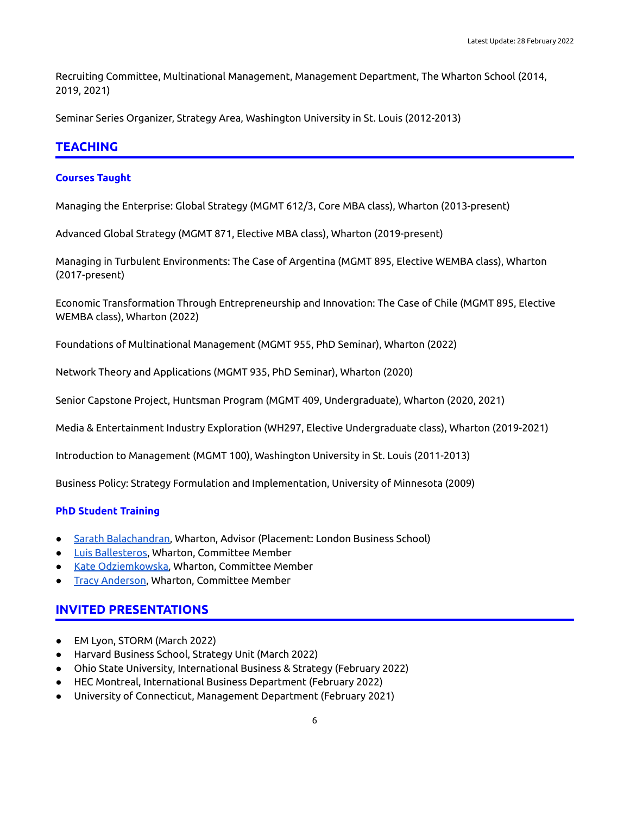Recruiting Committee, Multinational Management, Management Department, The Wharton School (2014, 2019, 2021)

Seminar Series Organizer, Strategy Area, Washington University in St. Louis (2012-2013)

## **TEACHING**

#### **Courses Taught**

Managing the Enterprise: Global Strategy (MGMT 612/3, Core MBA class), Wharton (2013-present)

Advanced Global Strategy (MGMT 871, Elective MBA class), Wharton (2019-present)

Managing in Turbulent Environments: The Case of Argentina (MGMT 895, Elective WEMBA class), Wharton (2017-present)

Economic Transformation Through Entrepreneurship and Innovation: The Case of Chile (MGMT 895, Elective WEMBA class), Wharton (2022)

Foundations of Multinational Management (MGMT 955, PhD Seminar), Wharton (2022)

Network Theory and Applications (MGMT 935, PhD Seminar), Wharton (2020)

Senior Capstone Project, Huntsman Program (MGMT 409, Undergraduate), Wharton (2020, 2021)

Media & Entertainment Industry Exploration (WH297, Elective Undergraduate class), Wharton (2019-2021)

Introduction to Management (MGMT 100), Washington University in St. Louis (2011-2013)

Business Policy: Strategy Formulation and Implementation, University of Minnesota (2009)

#### **PhD Student Training**

- **●** Sarath [Balachandran](https://www.london.edu/faculty-and-research/faculty-profiles/s/sarath-balachandran), Wharton, Advisor (Placement: London Business School)
- **Luis [Ballesteros](https://luisballesteros.net/), Wharton, Committee Member**
- Kate [Odziemkowska,](https://business.rice.edu/person/kate-odziemkowska) Wharton, Committee Member
- **Tracy [Anderson](http://faculty.unibocconi.eu/tracyanderson/), Wharton, Committee Member**

## **INVITED PRESENTATIONS**

- EM Lyon, STORM (March 2022)
- Harvard Business School, Strategy Unit (March 2022)
- Ohio State University, International Business & Strategy (February 2022)
- HEC Montreal, International Business Department (February 2022)
- University of Connecticut, Management Department (February 2021)